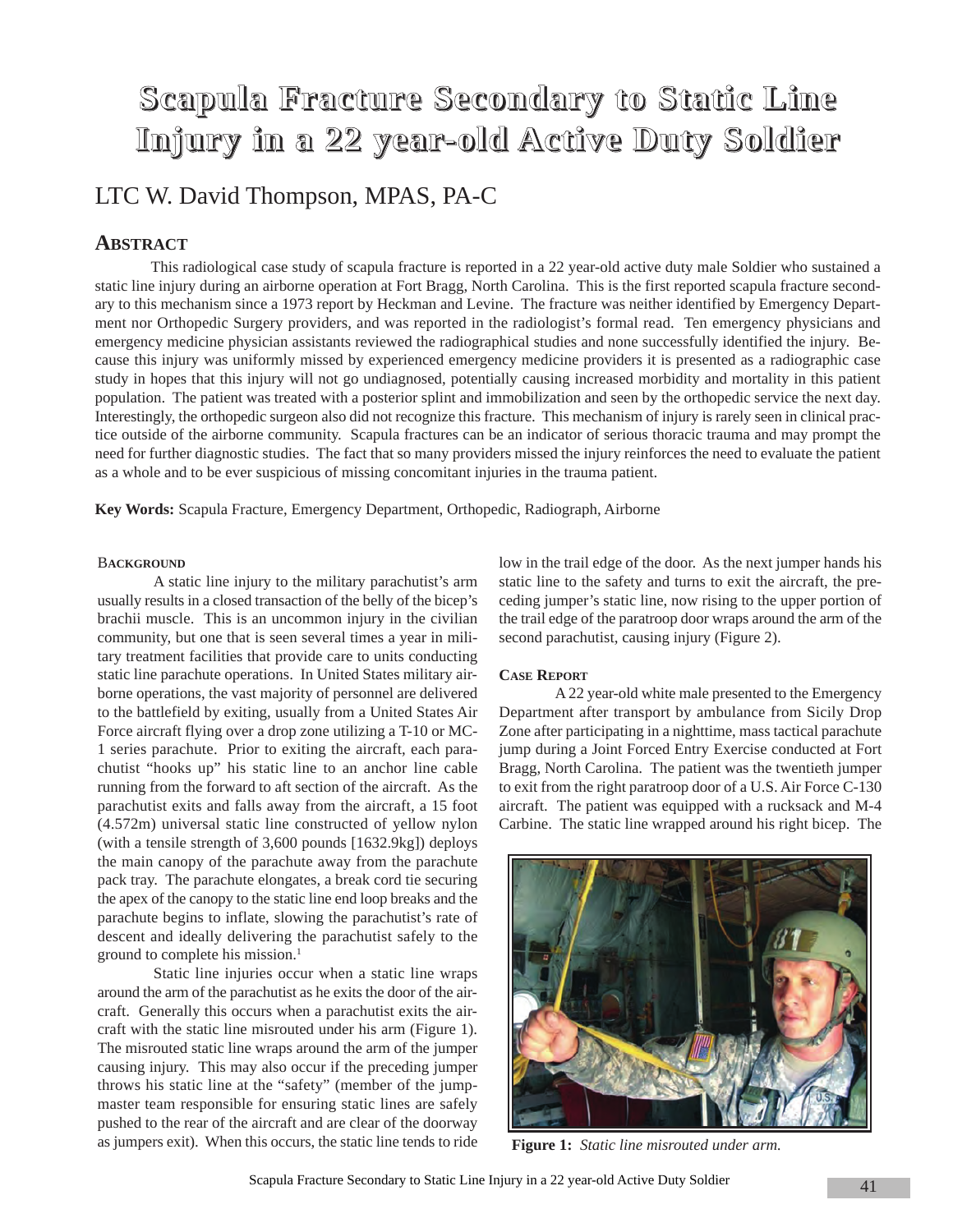# **Scapula Fracture Secondary to Static Line Injury in a 22 year-old Active Duty Soldier**

## LTC W. David Thompson, MPAS, PA-C

### **ABSTRACT**

This radiological case study of scapula fracture is reported in a 22 year-old active duty male Soldier who sustained a static line injury during an airborne operation at Fort Bragg, North Carolina. This is the first reported scapula fracture secondary to this mechanism since a 1973 report by Heckman and Levine. The fracture was neither identified by Emergency Department nor Orthopedic Surgery providers, and was reported in the radiologist's formal read. Ten emergency physicians and emergency medicine physician assistants reviewed the radiographical studies and none successfully identified the injury. Because this injury was uniformly missed by experienced emergency medicine providers it is presented as a radiographic case study in hopes that this injury will not go undiagnosed, potentially causing increased morbidity and mortality in this patient population. The patient was treated with a posterior splint and immobilization and seen by the orthopedic service the next day. Interestingly, the orthopedic surgeon also did not recognize this fracture. This mechanism of injury is rarely seen in clinical practice outside of the airborne community. Scapula fractures can be an indicator of serious thoracic trauma and may prompt the need for further diagnostic studies. The fact that so many providers missed the injury reinforces the need to evaluate the patient as a whole and to be ever suspicious of missing concomitant injuries in the trauma patient.

**Key Words:** Scapula Fracture, Emergency Department, Orthopedic, Radiograph, Airborne

#### **BACKGROUND**

A static line injury to the military parachutist's arm usually results in a closed transaction of the belly of the bicep's brachii muscle. This is an uncommon injury in the civilian community, but one that is seen several times a year in military treatment facilities that provide care to units conducting static line parachute operations. In United States military airborne operations, the vast majority of personnel are delivered to the battlefield by exiting, usually from a United States Air Force aircraft flying over a drop zone utilizing a T-10 or MC-1 series parachute. Prior to exiting the aircraft, each parachutist "hooks up" his static line to an anchor line cable running from the forward to aft section of the aircraft. As the parachutist exits and falls away from the aircraft, a 15 foot (4.572m) universal static line constructed of yellow nylon (with a tensile strength of 3,600 pounds [1632.9kg]) deploys the main canopy of the parachute away from the parachute pack tray. The parachute elongates, a break cord tie securing the apex of the canopy to the static line end loop breaks and the parachute begins to inflate, slowing the parachutist's rate of descent and ideally delivering the parachutist safely to the ground to complete his mission.<sup>1</sup>

Static line injuries occur when a static line wraps around the arm of the parachutist as he exits the door of the aircraft. Generally this occurs when a parachutist exits the aircraft with the static line misrouted under his arm (Figure 1). The misrouted static line wraps around the arm of the jumper causing injury. This may also occur if the preceding jumper throws his static line at the "safety" (member of the jumpmaster team responsible for ensuring static lines are safely pushed to the rear of the aircraft and are clear of the doorway as jumpers exit). When this occurs, the static line tends to ride low in the trail edge of the door. As the next jumper hands his static line to the safety and turns to exit the aircraft, the preceding jumper's static line, now rising to the upper portion of the trail edge of the paratroop door wraps around the arm of the second parachutist, causing injury (Figure 2).

#### **CASE REPORT**

A 22 year-old white male presented to the Emergency Department after transport by ambulance from Sicily Drop Zone after participating in a nighttime, mass tactical parachute jump during a Joint Forced Entry Exercise conducted at Fort Bragg, North Carolina. The patient was the twentieth jumper to exit from the right paratroop door of a U.S. Air Force C-130 aircraft. The patient was equipped with a rucksack and M-4 Carbine. The static line wrapped around his right bicep. The



**Figure 1:** *Static line misrouted under arm.*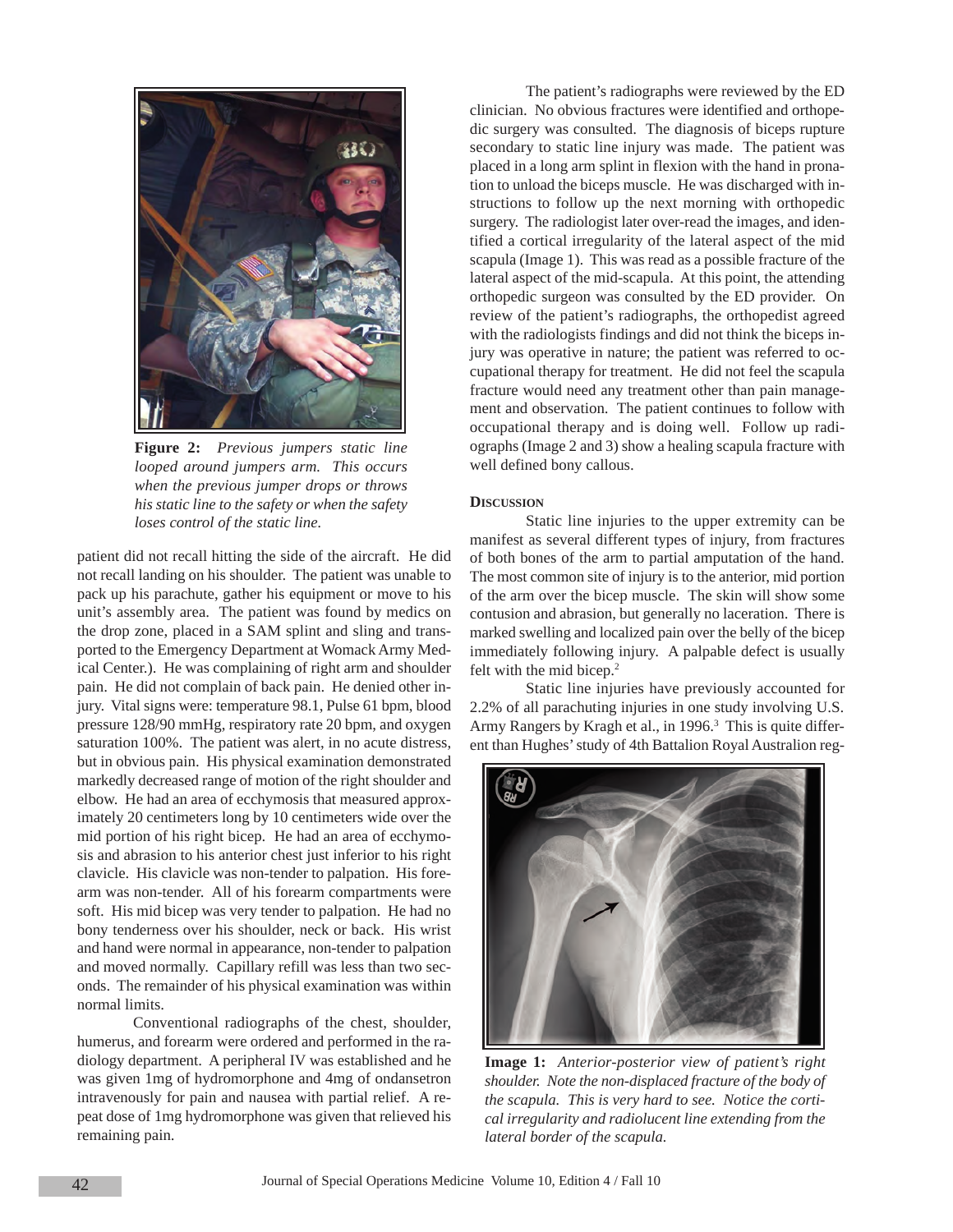

**Figure 2:** *Previous jumpers static line looped around jumpers arm. This occurs when the previous jumper drops or throws his static line to the safety or when the safety loses control of the static line.*

patient did not recall hitting the side of the aircraft. He did not recall landing on his shoulder. The patient was unable to pack up his parachute, gather his equipment or move to his unit's assembly area. The patient was found by medics on the drop zone, placed in a SAM splint and sling and transported to the Emergency Department at Womack Army Medical Center.). He was complaining of right arm and shoulder pain. He did not complain of back pain. He denied other injury. Vital signs were: temperature 98.1, Pulse 61 bpm, blood pressure 128/90 mmHg, respiratory rate 20 bpm, and oxygen saturation 100%. The patient was alert, in no acute distress, but in obvious pain. His physical examination demonstrated markedly decreased range of motion of the right shoulder and elbow. He had an area of ecchymosis that measured approximately 20 centimeters long by 10 centimeters wide over the mid portion of his right bicep. He had an area of ecchymosis and abrasion to his anterior chest just inferior to his right clavicle. His clavicle was non-tender to palpation. His forearm was non-tender. All of his forearm compartments were soft. His mid bicep was very tender to palpation. He had no bony tenderness over his shoulder, neck or back. His wrist and hand were normal in appearance, non-tender to palpation and moved normally. Capillary refill was less than two seconds. The remainder of his physical examination was within normal limits.

Conventional radiographs of the chest, shoulder, humerus, and forearm were ordered and performed in the radiology department. A peripheral IV was established and he was given 1mg of hydromorphone and 4mg of ondansetron intravenously for pain and nausea with partial relief. A repeat dose of 1mg hydromorphone was given that relieved his remaining pain.

The patient's radiographs were reviewed by the ED clinician. No obvious fractures were identified and orthopedic surgery was consulted. The diagnosis of biceps rupture secondary to static line injury was made. The patient was placed in a long arm splint in flexion with the hand in pronation to unload the biceps muscle. He was discharged with instructions to follow up the next morning with orthopedic surgery. The radiologist later over-read the images, and identified a cortical irregularity of the lateral aspect of the mid scapula (Image 1). This was read as a possible fracture of the lateral aspect of the mid-scapula. At this point, the attending orthopedic surgeon was consulted by the ED provider. On review of the patient's radiographs, the orthopedist agreed with the radiologists findings and did not think the biceps injury was operative in nature; the patient was referred to occupational therapy for treatment. He did not feel the scapula fracture would need any treatment other than pain management and observation. The patient continues to follow with occupational therapy and is doing well. Follow up radiographs (Image 2 and 3) show a healing scapula fracture with well defined bony callous.

#### **DISCUSSION**

Static line injuries to the upper extremity can be manifest as several different types of injury, from fractures of both bones of the arm to partial amputation of the hand. The most common site of injury is to the anterior, mid portion of the arm over the bicep muscle. The skin will show some contusion and abrasion, but generally no laceration. There is marked swelling and localized pain over the belly of the bicep immediately following injury. A palpable defect is usually felt with the mid bicep.2

Static line injuries have previously accounted for 2.2% of all parachuting injuries in one study involving U.S. Army Rangers by Kragh et al., in 1996.<sup>3</sup> This is quite different than Hughes' study of 4th Battalion Royal Australion reg-



**Image 1:** *Anterior-posterior view of patient's right shoulder. Note the non-displaced fracture of the body of the scapula. This is very hard to see. Notice the cortical irregularity and radiolucent line extending from the lateral border of the scapula.*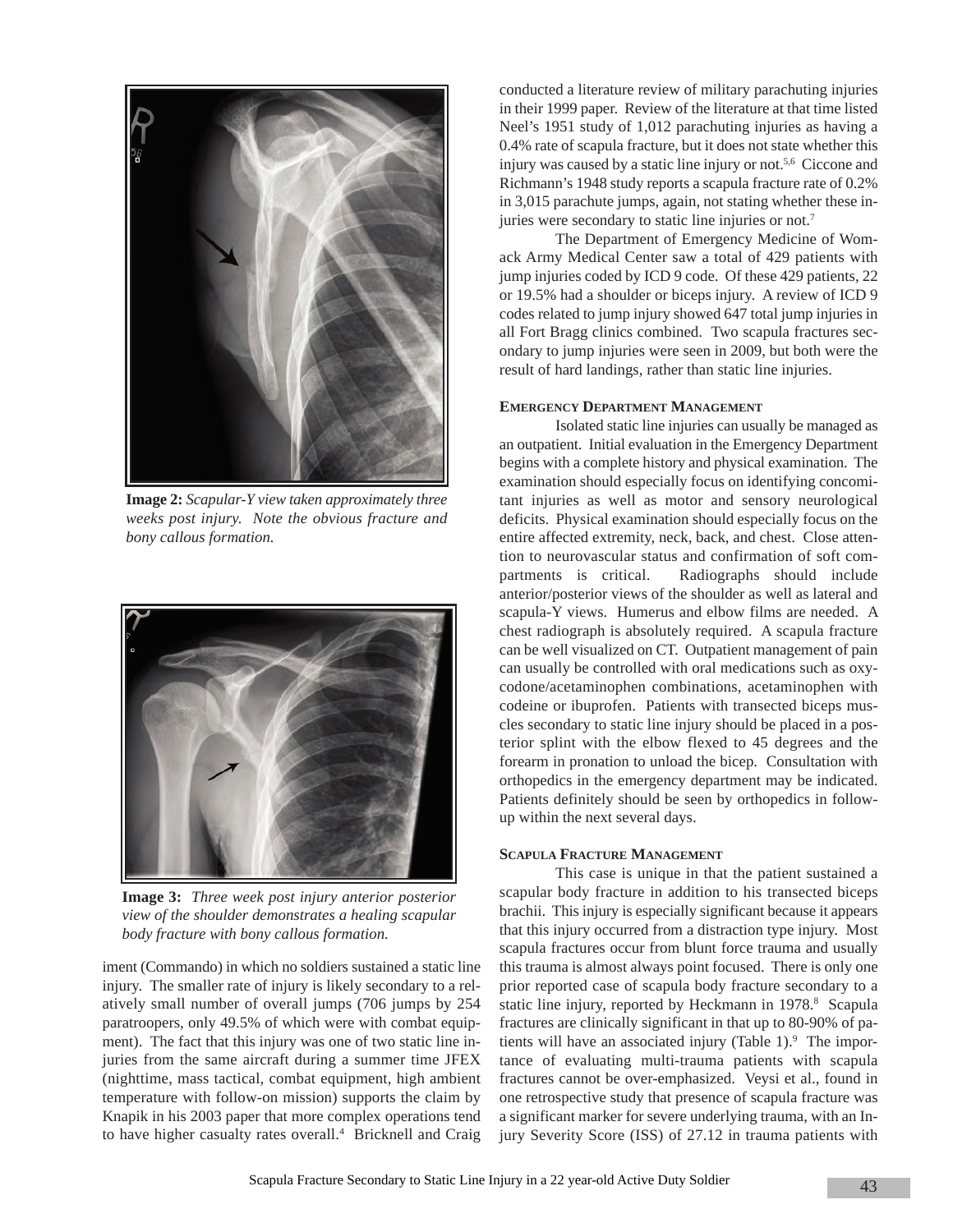

**Image 2:** *Scapular-Y view taken approximately three weeks post injury. Note the obvious fracture and bony callous formation.*



**Image 3:** *Three week post injury anterior posterior view of the shoulder demonstrates a healing scapular body fracture with bony callous formation.*

iment (Commando) in which no soldiers sustained a static line injury. The smaller rate of injury is likely secondary to a relatively small number of overall jumps (706 jumps by 254 paratroopers, only 49.5% of which were with combat equipment). The fact that this injury was one of two static line injuries from the same aircraft during a summer time JFEX (nighttime, mass tactical, combat equipment, high ambient temperature with follow-on mission) supports the claim by Knapik in his 2003 paper that more complex operations tend to have higher casualty rates overall.<sup>4</sup> Bricknell and Craig

conducted a literature review of military parachuting injuries in their 1999 paper. Review of the literature at that time listed Neel's 1951 study of 1,012 parachuting injuries as having a 0.4% rate of scapula fracture, but it does not state whether this injury was caused by a static line injury or not.<sup>5,6</sup> Ciccone and Richmann's 1948 study reports a scapula fracture rate of 0.2% in 3,015 parachute jumps, again, not stating whether these injuries were secondary to static line injuries or not.7

The Department of Emergency Medicine of Womack Army Medical Center saw a total of 429 patients with jump injuries coded by ICD 9 code. Of these 429 patients, 22 or 19.5% had a shoulder or biceps injury. A review of ICD 9 codes related to jump injury showed 647 total jump injuries in all Fort Bragg clinics combined. Two scapula fractures secondary to jump injuries were seen in 2009, but both were the result of hard landings, rather than static line injuries.

#### **EMERGENCY DEPARTMENT MANAGEMENT**

Isolated static line injuries can usually be managed as an outpatient. Initial evaluation in the Emergency Department begins with a complete history and physical examination. The examination should especially focus on identifying concomitant injuries as well as motor and sensory neurological deficits. Physical examination should especially focus on the entire affected extremity, neck, back, and chest. Close attention to neurovascular status and confirmation of soft compartments is critical. Radiographs should include anterior/posterior views of the shoulder as well as lateral and scapula-Y views. Humerus and elbow films are needed. A chest radiograph is absolutely required. A scapula fracture can be well visualized on CT. Outpatient management of pain can usually be controlled with oral medications such as oxycodone/acetaminophen combinations, acetaminophen with codeine or ibuprofen. Patients with transected biceps muscles secondary to static line injury should be placed in a posterior splint with the elbow flexed to 45 degrees and the forearm in pronation to unload the bicep. Consultation with orthopedics in the emergency department may be indicated. Patients definitely should be seen by orthopedics in followup within the next several days.

#### **SCAPULA FRACTURE MANAGEMENT**

This case is unique in that the patient sustained a scapular body fracture in addition to his transected biceps brachii. This injury is especially significant because it appears that this injury occurred from a distraction type injury. Most scapula fractures occur from blunt force trauma and usually this trauma is almost always point focused. There is only one prior reported case of scapula body fracture secondary to a static line injury, reported by Heckmann in 1978.<sup>8</sup> Scapula fractures are clinically significant in that up to 80-90% of patients will have an associated injury (Table 1).<sup>9</sup> The importance of evaluating multi-trauma patients with scapula fractures cannot be over-emphasized. Veysi et al., found in one retrospective study that presence of scapula fracture was a significant marker for severe underlying trauma, with an Injury Severity Score (ISS) of 27.12 in trauma patients with